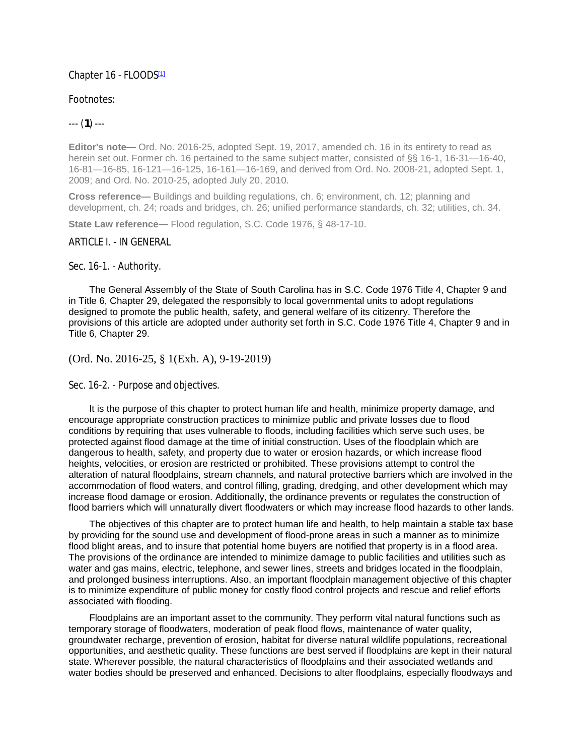### Chapter 16 - FLOODS[1]

### Footnotes:

# --- (**1**) ---

**Editor's note—** Ord. No. 2016-25, adopted Sept. 19, 2017, amended ch. 16 in its entirety to read as herein set out. Former ch. 16 pertained to the same subject matter, consisted of §§ 16-1, 16-31—16-40, 16-81—16-85, 16-121—16-125, 16-161—16-169, and derived from Ord. No. 2008-21, adopted Sept. 1, 2009; and Ord. No. 2010-25, adopted July 20, 2010.

**Cross reference—** Buildings and building regulations, ch. 6; environment, ch. 12; planning and development, ch. 24; roads and bridges, ch. 26; unified performance standards, ch. 32; utilities, ch. 34.

**State Law reference—** Flood regulation, S.C. Code 1976, § 48-17-10.

### ARTICLE I. - IN GENERAL

#### Sec. 16-1. - Authority.

The General Assembly of the State of South Carolina has in S.C. Code 1976 Title 4, Chapter 9 and in Title 6, Chapter 29, delegated the responsibly to local governmental units to adopt regulations designed to promote the public health, safety, and general welfare of its citizenry. Therefore the provisions of this article are adopted under authority set forth in S.C. Code 1976 Title 4, Chapter 9 and in Title 6, Chapter 29.

### (Ord. No. 2016-25, § 1(Exh. A), 9-19-2019)

#### Sec. 16-2. - Purpose and objectives.

It is the purpose of this chapter to protect human life and health, minimize property damage, and encourage appropriate construction practices to minimize public and private losses due to flood conditions by requiring that uses vulnerable to floods, including facilities which serve such uses, be protected against flood damage at the time of initial construction. Uses of the floodplain which are dangerous to health, safety, and property due to water or erosion hazards, or which increase flood heights, velocities, or erosion are restricted or prohibited. These provisions attempt to control the alteration of natural floodplains, stream channels, and natural protective barriers which are involved in the accommodation of flood waters, and control filling, grading, dredging, and other development which may increase flood damage or erosion. Additionally, the ordinance prevents or regulates the construction of flood barriers which will unnaturally divert floodwaters or which may increase flood hazards to other lands.

The objectives of this chapter are to protect human life and health, to help maintain a stable tax base by providing for the sound use and development of flood-prone areas in such a manner as to minimize flood blight areas, and to insure that potential home buyers are notified that property is in a flood area. The provisions of the ordinance are intended to minimize damage to public facilities and utilities such as water and gas mains, electric, telephone, and sewer lines, streets and bridges located in the floodplain, and prolonged business interruptions. Also, an important floodplain management objective of this chapter is to minimize expenditure of public money for costly flood control projects and rescue and relief efforts associated with flooding.

Floodplains are an important asset to the community. They perform vital natural functions such as temporary storage of floodwaters, moderation of peak flood flows, maintenance of water quality, groundwater recharge, prevention of erosion, habitat for diverse natural wildlife populations, recreational opportunities, and aesthetic quality. These functions are best served if floodplains are kept in their natural state. Wherever possible, the natural characteristics of floodplains and their associated wetlands and water bodies should be preserved and enhanced. Decisions to alter floodplains, especially floodways and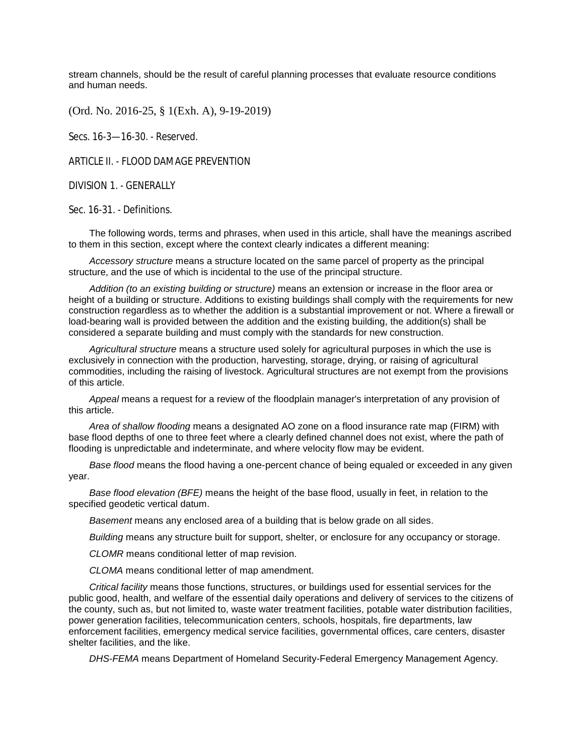stream channels, should be the result of careful planning processes that evaluate resource conditions and human needs.

(Ord. No. 2016-25, § 1(Exh. A), 9-19-2019)

Secs. 16-3—16-30. - Reserved.

ARTICLE II. - FLOOD DAMAGE PREVENTION

DIVISION 1. - GENERALLY

Sec. 16-31. - Definitions.

The following words, terms and phrases, when used in this article, shall have the meanings ascribed to them in this section, except where the context clearly indicates a different meaning:

*Accessory structure* means a structure located on the same parcel of property as the principal structure, and the use of which is incidental to the use of the principal structure.

*Addition (to an existing building or structure)* means an extension or increase in the floor area or height of a building or structure. Additions to existing buildings shall comply with the requirements for new construction regardless as to whether the addition is a substantial improvement or not. Where a firewall or load-bearing wall is provided between the addition and the existing building, the addition(s) shall be considered a separate building and must comply with the standards for new construction.

*Agricultural structure* means a structure used solely for agricultural purposes in which the use is exclusively in connection with the production, harvesting, storage, drying, or raising of agricultural commodities, including the raising of livestock. Agricultural structures are not exempt from the provisions of this article.

*Appeal* means a request for a review of the floodplain manager's interpretation of any provision of this article.

*Area of shallow flooding* means a designated AO zone on a flood insurance rate map (FIRM) with base flood depths of one to three feet where a clearly defined channel does not exist, where the path of flooding is unpredictable and indeterminate, and where velocity flow may be evident.

*Base flood* means the flood having a one-percent chance of being equaled or exceeded in any given year.

*Base flood elevation (BFE)* means the height of the base flood, usually in feet, in relation to the specified geodetic vertical datum.

*Basement* means any enclosed area of a building that is below grade on all sides.

*Building* means any structure built for support, shelter, or enclosure for any occupancy or storage.

*CLOMR* means conditional letter of map revision.

*CLOMA* means conditional letter of map amendment.

*Critical facility* means those functions, structures, or buildings used for essential services for the public good, health, and welfare of the essential daily operations and delivery of services to the citizens of the county, such as, but not limited to, waste water treatment facilities, potable water distribution facilities, power generation facilities, telecommunication centers, schools, hospitals, fire departments, law enforcement facilities, emergency medical service facilities, governmental offices, care centers, disaster shelter facilities, and the like.

*DHS-FEMA* means Department of Homeland Security-Federal Emergency Management Agency.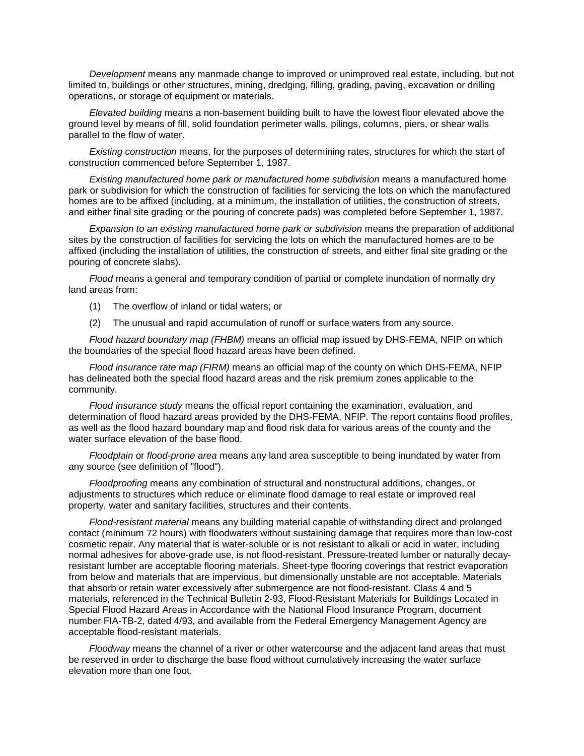*Development* means any manmade change to improved or unimproved real estate, including, but not limited to, buildings or other structures, mining, dredging, filling, grading, paving, excavation or drilling operations, or storage of equipment or materials.

*Elevated building* means a non-basement building built to have the lowest floor elevated above the ground level by means of fill, solid foundation perimeter walls, pilings, columns, piers, or shear walls parallel to the flow of water.

*Existing construction* means, for the purposes of determining rates, structures for which the start of construction commenced before September 1, 1987.

*Existing manufactured home park or manufactured home subdivision* means a manufactured home park or subdivision for which the construction of facilities for servicing the lots on which the manufactured homes are to be affixed (including, at a minimum, the installation of utilities, the construction of streets, and either final site grading or the pouring of concrete pads) was completed before September 1, 1987.

*Expansion to an existing manufactured home park or subdivision* means the preparation of additional sites by the construction of facilities for servicing the lots on which the manufactured homes are to be affixed (including the installation of utilities, the construction of streets, and either final site grading or the pouring of concrete slabs).

*Flood* means a general and temporary condition of partial or complete inundation of normally dry land areas from:

- (1) The overflow of inland or tidal waters; or
- (2) The unusual and rapid accumulation of runoff or surface waters from any source.

*Flood hazard boundary map (FHBM)* means an official map issued by DHS-FEMA, NFIP on which the boundaries of the special flood hazard areas have been defined.

*Flood insurance rate map (FIRM)* means an official map of the county on which DHS-FEMA, NFIP has delineated both the special flood hazard areas and the risk premium zones applicable to the community.

*Flood insurance study* means the official report containing the examination, evaluation, and determination of flood hazard areas provided by the DHS-FEMA, NFIP. The report contains flood profiles, as well as the flood hazard boundary map and flood risk data for various areas of the county and the water surface elevation of the base flood.

*Floodplain* or *flood-prone area* means any land area susceptible to being inundated by water from any source (see definition of "flood").

*Floodproofing* means any combination of structural and nonstructural additions, changes, or adjustments to structures which reduce or eliminate flood damage to real estate or improved real property, water and sanitary facilities, structures and their contents.

*Flood-resistant material* means any building material capable of withstanding direct and prolonged contact (minimum 72 hours) with floodwaters without sustaining damage that requires more than low-cost cosmetic repair. Any material that is water-soluble or is not resistant to alkali or acid in water, including normal adhesives for above-grade use, is not flood-resistant. Pressure-treated lumber or naturally decayresistant lumber are acceptable flooring materials. Sheet-type flooring coverings that restrict evaporation from below and materials that are impervious, but dimensionally unstable are not acceptable. Materials that absorb or retain water excessively after submergence are not flood-resistant. Class 4 and 5 materials, referenced in the Technical Bulletin 2-93, Flood-Resistant Materials for Buildings Located in Special Flood Hazard Areas in Accordance with the National Flood Insurance Program, document number FIA-TB-2, dated 4/93, and available from the Federal Emergency Management Agency are acceptable flood-resistant materials.

*Floodway* means the channel of a river or other watercourse and the adjacent land areas that must be reserved in order to discharge the base flood without cumulatively increasing the water surface elevation more than one foot.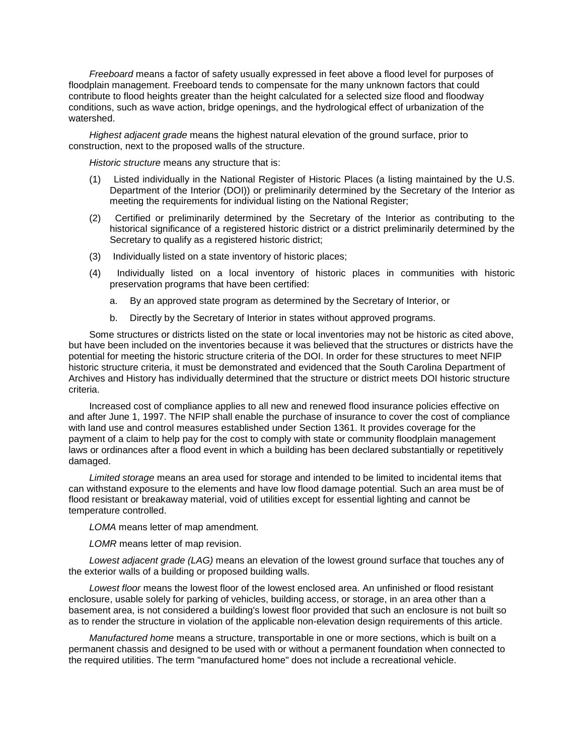*Freeboard* means a factor of safety usually expressed in feet above a flood level for purposes of floodplain management. Freeboard tends to compensate for the many unknown factors that could contribute to flood heights greater than the height calculated for a selected size flood and floodway conditions, such as wave action, bridge openings, and the hydrological effect of urbanization of the watershed.

*Highest adjacent grade* means the highest natural elevation of the ground surface, prior to construction, next to the proposed walls of the structure.

*Historic structure* means any structure that is:

- (1) Listed individually in the National Register of Historic Places (a listing maintained by the U.S. Department of the Interior (DOI)) or preliminarily determined by the Secretary of the Interior as meeting the requirements for individual listing on the National Register;
- (2) Certified or preliminarily determined by the Secretary of the Interior as contributing to the historical significance of a registered historic district or a district preliminarily determined by the Secretary to qualify as a registered historic district;
- (3) Individually listed on a state inventory of historic places;
- (4) Individually listed on a local inventory of historic places in communities with historic preservation programs that have been certified:
	- a. By an approved state program as determined by the Secretary of Interior, or
	- b. Directly by the Secretary of Interior in states without approved programs.

Some structures or districts listed on the state or local inventories may not be historic as cited above, but have been included on the inventories because it was believed that the structures or districts have the potential for meeting the historic structure criteria of the DOI. In order for these structures to meet NFIP historic structure criteria, it must be demonstrated and evidenced that the South Carolina Department of Archives and History has individually determined that the structure or district meets DOI historic structure criteria.

Increased cost of compliance applies to all new and renewed flood insurance policies effective on and after June 1, 1997. The NFIP shall enable the purchase of insurance to cover the cost of compliance with land use and control measures established under Section 1361. It provides coverage for the payment of a claim to help pay for the cost to comply with state or community floodplain management laws or ordinances after a flood event in which a building has been declared substantially or repetitively damaged.

*Limited storage* means an area used for storage and intended to be limited to incidental items that can withstand exposure to the elements and have low flood damage potential. Such an area must be of flood resistant or breakaway material, void of utilities except for essential lighting and cannot be temperature controlled.

*LOMA* means letter of map amendment.

*LOMR* means letter of map revision.

*Lowest adjacent grade (LAG)* means an elevation of the lowest ground surface that touches any of the exterior walls of a building or proposed building walls.

*Lowest floor* means the lowest floor of the lowest enclosed area. An unfinished or flood resistant enclosure, usable solely for parking of vehicles, building access, or storage, in an area other than a basement area, is not considered a building's lowest floor provided that such an enclosure is not built so as to render the structure in violation of the applicable non-elevation design requirements of this article.

*Manufactured home* means a structure, transportable in one or more sections, which is built on a permanent chassis and designed to be used with or without a permanent foundation when connected to the required utilities. The term "manufactured home" does not include a recreational vehicle.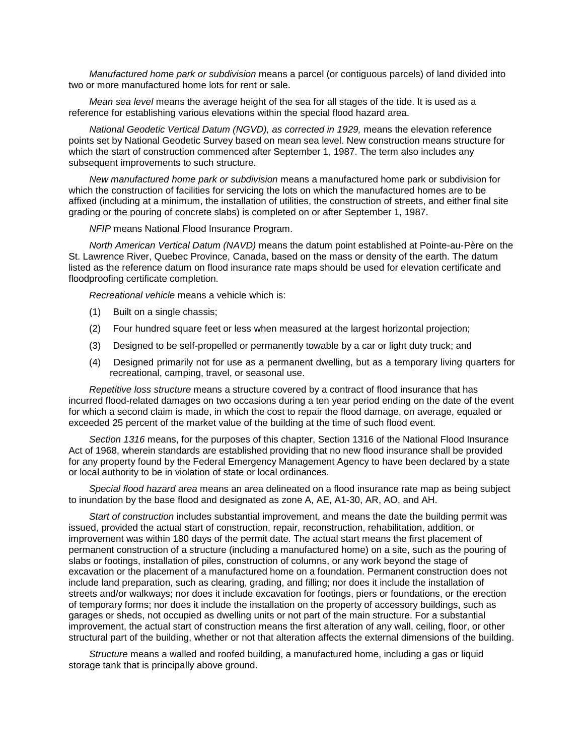*Manufactured home park or subdivision* means a parcel (or contiguous parcels) of land divided into two or more manufactured home lots for rent or sale.

*Mean sea level* means the average height of the sea for all stages of the tide. It is used as a reference for establishing various elevations within the special flood hazard area.

*National Geodetic Vertical Datum (NGVD), as corrected in 1929,* means the elevation reference points set by National Geodetic Survey based on mean sea level. New construction means structure for which the start of construction commenced after September 1, 1987. The term also includes any subsequent improvements to such structure.

*New manufactured home park or subdivision* means a manufactured home park or subdivision for which the construction of facilities for servicing the lots on which the manufactured homes are to be affixed (including at a minimum, the installation of utilities, the construction of streets, and either final site grading or the pouring of concrete slabs) is completed on or after September 1, 1987.

*NFIP* means National Flood Insurance Program.

*North American Vertical Datum (NAVD)* means the datum point established at Pointe-au-Père on the St. Lawrence River, Quebec Province, Canada, based on the mass or density of the earth. The datum listed as the reference datum on flood insurance rate maps should be used for elevation certificate and floodproofing certificate completion.

*Recreational vehicle* means a vehicle which is:

- (1) Built on a single chassis;
- (2) Four hundred square feet or less when measured at the largest horizontal projection;
- (3) Designed to be self-propelled or permanently towable by a car or light duty truck; and
- (4) Designed primarily not for use as a permanent dwelling, but as a temporary living quarters for recreational, camping, travel, or seasonal use.

*Repetitive loss structure* means a structure covered by a contract of flood insurance that has incurred flood-related damages on two occasions during a ten year period ending on the date of the event for which a second claim is made, in which the cost to repair the flood damage, on average, equaled or exceeded 25 percent of the market value of the building at the time of such flood event.

*Section 1316* means, for the purposes of this chapter, Section 1316 of the National Flood Insurance Act of 1968, wherein standards are established providing that no new flood insurance shall be provided for any property found by the Federal Emergency Management Agency to have been declared by a state or local authority to be in violation of state or local ordinances.

*Special flood hazard area* means an area delineated on a flood insurance rate map as being subject to inundation by the base flood and designated as zone A, AE, A1-30, AR, AO, and AH.

*Start of construction* includes substantial improvement, and means the date the building permit was issued, provided the actual start of construction, repair, reconstruction, rehabilitation, addition, or improvement was within 180 days of the permit date. The actual start means the first placement of permanent construction of a structure (including a manufactured home) on a site, such as the pouring of slabs or footings, installation of piles, construction of columns, or any work beyond the stage of excavation or the placement of a manufactured home on a foundation. Permanent construction does not include land preparation, such as clearing, grading, and filling; nor does it include the installation of streets and/or walkways; nor does it include excavation for footings, piers or foundations, or the erection of temporary forms; nor does it include the installation on the property of accessory buildings, such as garages or sheds, not occupied as dwelling units or not part of the main structure. For a substantial improvement, the actual start of construction means the first alteration of any wall, ceiling, floor, or other structural part of the building, whether or not that alteration affects the external dimensions of the building.

*Structure* means a walled and roofed building, a manufactured home, including a gas or liquid storage tank that is principally above ground.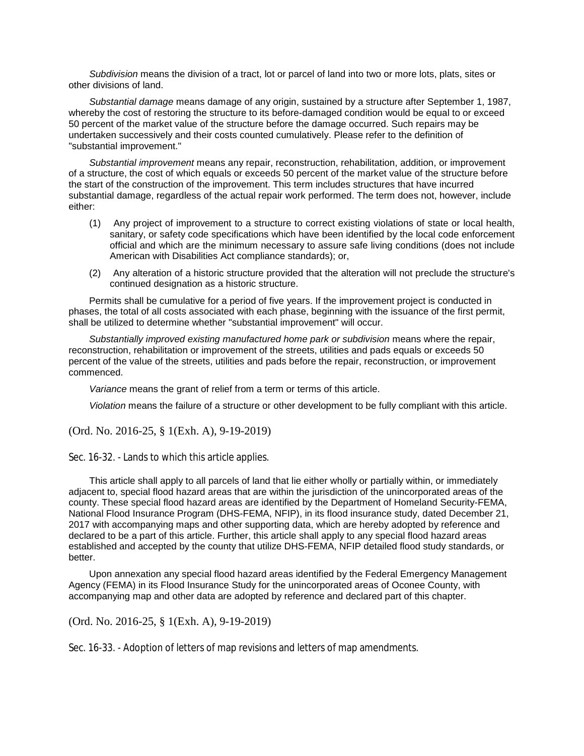*Subdivision* means the division of a tract, lot or parcel of land into two or more lots, plats, sites or other divisions of land.

*Substantial damage* means damage of any origin, sustained by a structure after September 1, 1987, whereby the cost of restoring the structure to its before-damaged condition would be equal to or exceed 50 percent of the market value of the structure before the damage occurred. Such repairs may be undertaken successively and their costs counted cumulatively. Please refer to the definition of "substantial improvement."

*Substantial improvement* means any repair, reconstruction, rehabilitation, addition, or improvement of a structure, the cost of which equals or exceeds 50 percent of the market value of the structure before the start of the construction of the improvement. This term includes structures that have incurred substantial damage, regardless of the actual repair work performed. The term does not, however, include either:

- (1) Any project of improvement to a structure to correct existing violations of state or local health, sanitary, or safety code specifications which have been identified by the local code enforcement official and which are the minimum necessary to assure safe living conditions (does not include American with Disabilities Act compliance standards); or,
- (2) Any alteration of a historic structure provided that the alteration will not preclude the structure's continued designation as a historic structure.

Permits shall be cumulative for a period of five years. If the improvement project is conducted in phases, the total of all costs associated with each phase, beginning with the issuance of the first permit, shall be utilized to determine whether "substantial improvement" will occur.

*Substantially improved existing manufactured home park or subdivision* means where the repair, reconstruction, rehabilitation or improvement of the streets, utilities and pads equals or exceeds 50 percent of the value of the streets, utilities and pads before the repair, reconstruction, or improvement commenced.

*Variance* means the grant of relief from a term or terms of this article.

*Violation* means the failure of a structure or other development to be fully compliant with this article.

(Ord. No. 2016-25, § 1(Exh. A), 9-19-2019)

Sec. 16-32. - Lands to which this article applies.

This article shall apply to all parcels of land that lie either wholly or partially within, or immediately adjacent to, special flood hazard areas that are within the jurisdiction of the unincorporated areas of the county. These special flood hazard areas are identified by the Department of Homeland Security-FEMA, National Flood Insurance Program (DHS-FEMA, NFIP), in its flood insurance study, dated December 21, 2017 with accompanying maps and other supporting data, which are hereby adopted by reference and declared to be a part of this article. Further, this article shall apply to any special flood hazard areas established and accepted by the county that utilize DHS-FEMA, NFIP detailed flood study standards, or better.

Upon annexation any special flood hazard areas identified by the Federal Emergency Management Agency (FEMA) in its Flood Insurance Study for the unincorporated areas of Oconee County, with accompanying map and other data are adopted by reference and declared part of this chapter.

(Ord. No. 2016-25, § 1(Exh. A), 9-19-2019)

Sec. 16-33. - Adoption of letters of map revisions and letters of map amendments.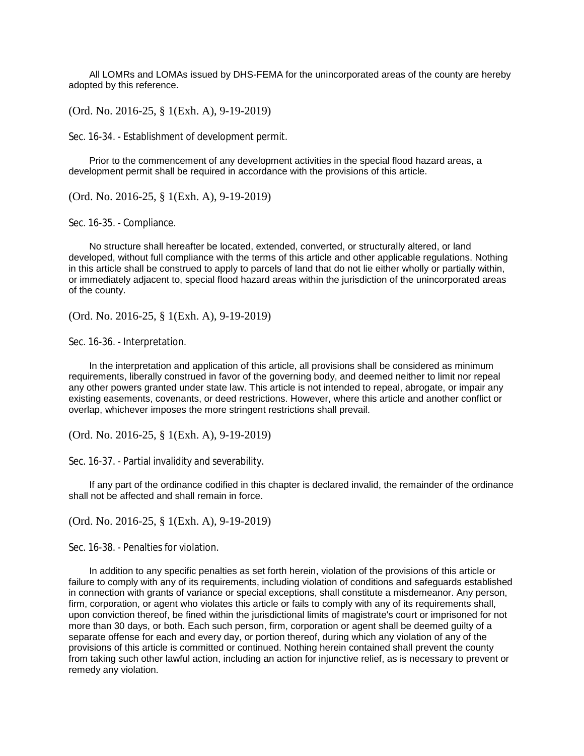All LOMRs and LOMAs issued by DHS-FEMA for the unincorporated areas of the county are hereby adopted by this reference.

(Ord. No. 2016-25, § 1(Exh. A), 9-19-2019)

Sec. 16-34. - Establishment of development permit.

Prior to the commencement of any development activities in the special flood hazard areas, a development permit shall be required in accordance with the provisions of this article.

(Ord. No. 2016-25, § 1(Exh. A), 9-19-2019)

Sec. 16-35. - Compliance.

No structure shall hereafter be located, extended, converted, or structurally altered, or land developed, without full compliance with the terms of this article and other applicable regulations. Nothing in this article shall be construed to apply to parcels of land that do not lie either wholly or partially within, or immediately adjacent to, special flood hazard areas within the jurisdiction of the unincorporated areas of the county.

(Ord. No. 2016-25, § 1(Exh. A), 9-19-2019)

Sec. 16-36. - Interpretation.

In the interpretation and application of this article, all provisions shall be considered as minimum requirements, liberally construed in favor of the governing body, and deemed neither to limit nor repeal any other powers granted under state law. This article is not intended to repeal, abrogate, or impair any existing easements, covenants, or deed restrictions. However, where this article and another conflict or overlap, whichever imposes the more stringent restrictions shall prevail.

(Ord. No. 2016-25, § 1(Exh. A), 9-19-2019)

Sec. 16-37. - Partial invalidity and severability.

If any part of the ordinance codified in this chapter is declared invalid, the remainder of the ordinance shall not be affected and shall remain in force.

(Ord. No. 2016-25, § 1(Exh. A), 9-19-2019)

Sec. 16-38. - Penalties for violation.

In addition to any specific penalties as set forth herein, violation of the provisions of this article or failure to comply with any of its requirements, including violation of conditions and safeguards established in connection with grants of variance or special exceptions, shall constitute a misdemeanor. Any person, firm, corporation, or agent who violates this article or fails to comply with any of its requirements shall, upon conviction thereof, be fined within the jurisdictional limits of magistrate's court or imprisoned for not more than 30 days, or both. Each such person, firm, corporation or agent shall be deemed guilty of a separate offense for each and every day, or portion thereof, during which any violation of any of the provisions of this article is committed or continued. Nothing herein contained shall prevent the county from taking such other lawful action, including an action for injunctive relief, as is necessary to prevent or remedy any violation.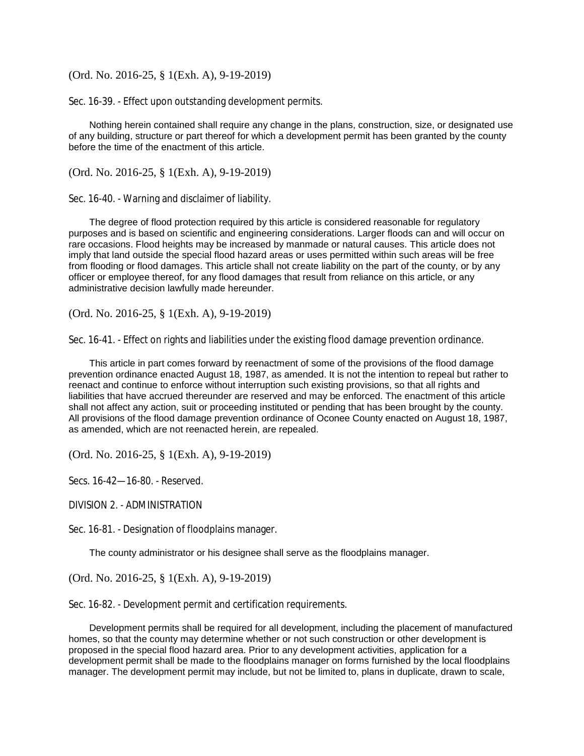Sec. 16-39. - Effect upon outstanding development permits.

Nothing herein contained shall require any change in the plans, construction, size, or designated use of any building, structure or part thereof for which a development permit has been granted by the county before the time of the enactment of this article.

(Ord. No. 2016-25, § 1(Exh. A), 9-19-2019)

Sec. 16-40. - Warning and disclaimer of liability.

The degree of flood protection required by this article is considered reasonable for regulatory purposes and is based on scientific and engineering considerations. Larger floods can and will occur on rare occasions. Flood heights may be increased by manmade or natural causes. This article does not imply that land outside the special flood hazard areas or uses permitted within such areas will be free from flooding or flood damages. This article shall not create liability on the part of the county, or by any officer or employee thereof, for any flood damages that result from reliance on this article, or any administrative decision lawfully made hereunder.

(Ord. No. 2016-25, § 1(Exh. A), 9-19-2019)

Sec. 16-41. - Effect on rights and liabilities under the existing flood damage prevention ordinance.

This article in part comes forward by reenactment of some of the provisions of the flood damage prevention ordinance enacted August 18, 1987, as amended. It is not the intention to repeal but rather to reenact and continue to enforce without interruption such existing provisions, so that all rights and liabilities that have accrued thereunder are reserved and may be enforced. The enactment of this article shall not affect any action, suit or proceeding instituted or pending that has been brought by the county. All provisions of the flood damage prevention ordinance of Oconee County enacted on August 18, 1987, as amended, which are not reenacted herein, are repealed.

(Ord. No. 2016-25, § 1(Exh. A), 9-19-2019)

Secs. 16-42—16-80. - Reserved.

DIVISION 2. - ADMINISTRATION

Sec. 16-81. - Designation of floodplains manager.

The county administrator or his designee shall serve as the floodplains manager.

(Ord. No. 2016-25, § 1(Exh. A), 9-19-2019)

Sec. 16-82. - Development permit and certification requirements.

Development permits shall be required for all development, including the placement of manufactured homes, so that the county may determine whether or not such construction or other development is proposed in the special flood hazard area. Prior to any development activities, application for a development permit shall be made to the floodplains manager on forms furnished by the local floodplains manager. The development permit may include, but not be limited to, plans in duplicate, drawn to scale,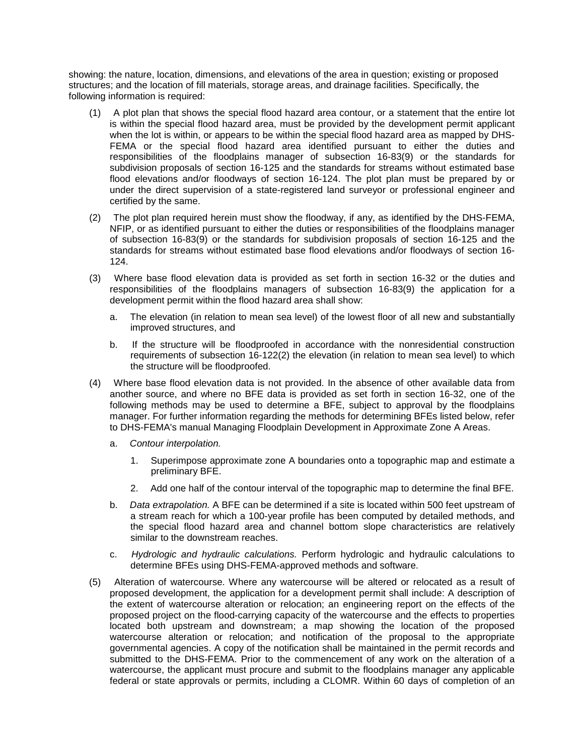showing: the nature, location, dimensions, and elevations of the area in question; existing or proposed structures; and the location of fill materials, storage areas, and drainage facilities. Specifically, the following information is required:

- (1) A plot plan that shows the special flood hazard area contour, or a statement that the entire lot is within the special flood hazard area, must be provided by the development permit applicant when the lot is within, or appears to be within the special flood hazard area as mapped by DHS-FEMA or the special flood hazard area identified pursuant to either the duties and responsibilities of the floodplains manager of subsection 16-83(9) or the standards for subdivision proposals of section 16-125 and the standards for streams without estimated base flood elevations and/or floodways of section 16-124. The plot plan must be prepared by or under the direct supervision of a state-registered land surveyor or professional engineer and certified by the same.
- (2) The plot plan required herein must show the floodway, if any, as identified by the DHS-FEMA, NFIP, or as identified pursuant to either the duties or responsibilities of the floodplains manager of subsection 16-83(9) or the standards for subdivision proposals of section 16-125 and the standards for streams without estimated base flood elevations and/or floodways of section 16- 124.
- (3) Where base flood elevation data is provided as set forth in section 16-32 or the duties and responsibilities of the floodplains managers of subsection 16-83(9) the application for a development permit within the flood hazard area shall show:
	- a. The elevation (in relation to mean sea level) of the lowest floor of all new and substantially improved structures, and
	- b. If the structure will be floodproofed in accordance with the nonresidential construction requirements of subsection 16-122(2) the elevation (in relation to mean sea level) to which the structure will be floodproofed.
- (4) Where base flood elevation data is not provided. In the absence of other available data from another source, and where no BFE data is provided as set forth in section 16-32, one of the following methods may be used to determine a BFE, subject to approval by the floodplains manager. For further information regarding the methods for determining BFEs listed below, refer to DHS-FEMA's manual Managing Floodplain Development in Approximate Zone A Areas.
	- a. *Contour interpolation.*
		- 1. Superimpose approximate zone A boundaries onto a topographic map and estimate a preliminary BFE.
		- 2. Add one half of the contour interval of the topographic map to determine the final BFE.
	- b. *Data extrapolation.* A BFE can be determined if a site is located within 500 feet upstream of a stream reach for which a 100-year profile has been computed by detailed methods, and the special flood hazard area and channel bottom slope characteristics are relatively similar to the downstream reaches.
	- c. *Hydrologic and hydraulic calculations.* Perform hydrologic and hydraulic calculations to determine BFEs using DHS-FEMA-approved methods and software.
- (5) Alteration of watercourse. Where any watercourse will be altered or relocated as a result of proposed development, the application for a development permit shall include: A description of the extent of watercourse alteration or relocation; an engineering report on the effects of the proposed project on the flood-carrying capacity of the watercourse and the effects to properties located both upstream and downstream; a map showing the location of the proposed watercourse alteration or relocation; and notification of the proposal to the appropriate governmental agencies. A copy of the notification shall be maintained in the permit records and submitted to the DHS-FEMA. Prior to the commencement of any work on the alteration of a watercourse, the applicant must procure and submit to the floodplains manager any applicable federal or state approvals or permits, including a CLOMR. Within 60 days of completion of an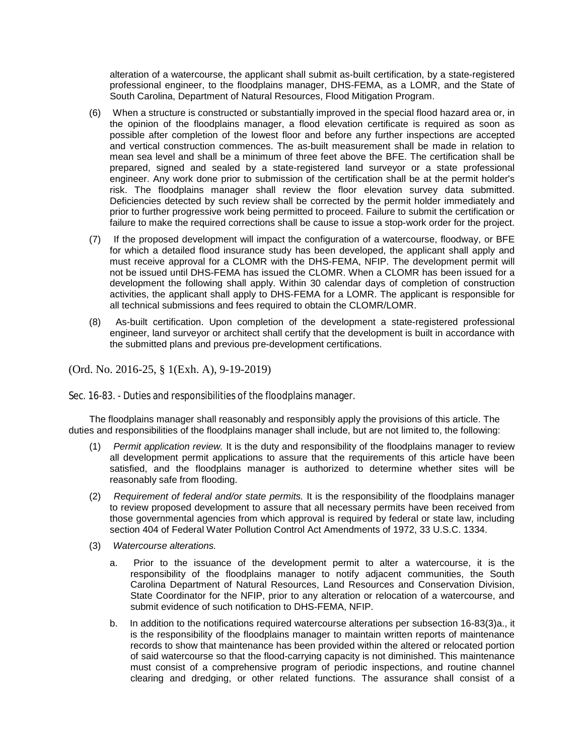alteration of a watercourse, the applicant shall submit as-built certification, by a state-registered professional engineer, to the floodplains manager, DHS-FEMA, as a LOMR, and the State of South Carolina, Department of Natural Resources, Flood Mitigation Program.

- (6) When a structure is constructed or substantially improved in the special flood hazard area or, in the opinion of the floodplains manager, a flood elevation certificate is required as soon as possible after completion of the lowest floor and before any further inspections are accepted and vertical construction commences. The as-built measurement shall be made in relation to mean sea level and shall be a minimum of three feet above the BFE. The certification shall be prepared, signed and sealed by a state-registered land surveyor or a state professional engineer. Any work done prior to submission of the certification shall be at the permit holder's risk. The floodplains manager shall review the floor elevation survey data submitted. Deficiencies detected by such review shall be corrected by the permit holder immediately and prior to further progressive work being permitted to proceed. Failure to submit the certification or failure to make the required corrections shall be cause to issue a stop-work order for the project.
- (7) If the proposed development will impact the configuration of a watercourse, floodway, or BFE for which a detailed flood insurance study has been developed, the applicant shall apply and must receive approval for a CLOMR with the DHS-FEMA, NFIP. The development permit will not be issued until DHS-FEMA has issued the CLOMR. When a CLOMR has been issued for a development the following shall apply. Within 30 calendar days of completion of construction activities, the applicant shall apply to DHS-FEMA for a LOMR. The applicant is responsible for all technical submissions and fees required to obtain the CLOMR/LOMR.
- (8) As-built certification. Upon completion of the development a state-registered professional engineer, land surveyor or architect shall certify that the development is built in accordance with the submitted plans and previous pre-development certifications.

(Ord. No. 2016-25, § 1(Exh. A), 9-19-2019)

Sec. 16-83. - Duties and responsibilities of the floodplains manager.

The floodplains manager shall reasonably and responsibly apply the provisions of this article. The duties and responsibilities of the floodplains manager shall include, but are not limited to, the following:

- (1) *Permit application review.* It is the duty and responsibility of the floodplains manager to review all development permit applications to assure that the requirements of this article have been satisfied, and the floodplains manager is authorized to determine whether sites will be reasonably safe from flooding.
- (2) *Requirement of federal and/or state permits.* It is the responsibility of the floodplains manager to review proposed development to assure that all necessary permits have been received from those governmental agencies from which approval is required by federal or state law, including section 404 of Federal Water Pollution Control Act Amendments of 1972, 33 U.S.C. 1334.
- (3) *Watercourse alterations.*
	- a. Prior to the issuance of the development permit to alter a watercourse, it is the responsibility of the floodplains manager to notify adjacent communities, the South Carolina Department of Natural Resources, Land Resources and Conservation Division, State Coordinator for the NFIP, prior to any alteration or relocation of a watercourse, and submit evidence of such notification to DHS-FEMA, NFIP.
	- b. In addition to the notifications required watercourse alterations per subsection 16-83(3)a., it is the responsibility of the floodplains manager to maintain written reports of maintenance records to show that maintenance has been provided within the altered or relocated portion of said watercourse so that the flood-carrying capacity is not diminished. This maintenance must consist of a comprehensive program of periodic inspections, and routine channel clearing and dredging, or other related functions. The assurance shall consist of a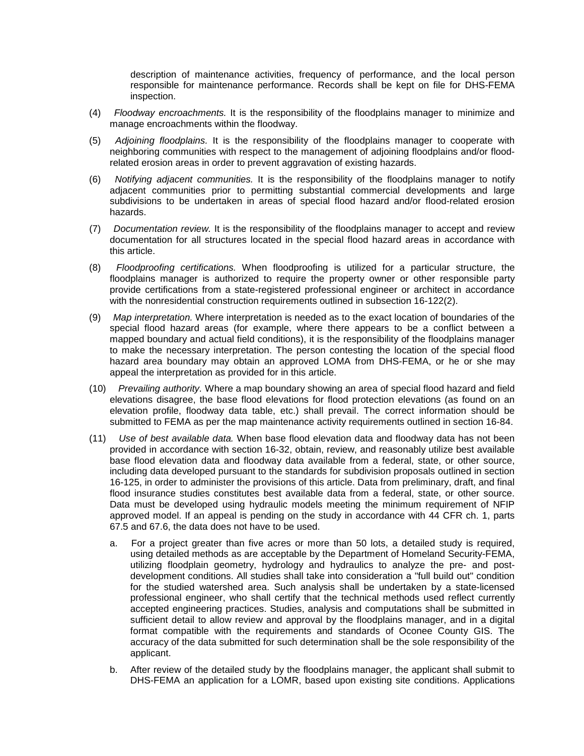description of maintenance activities, frequency of performance, and the local person responsible for maintenance performance. Records shall be kept on file for DHS-FEMA inspection.

- (4) *Floodway encroachments.* It is the responsibility of the floodplains manager to minimize and manage encroachments within the floodway.
- (5) *Adjoining floodplains.* It is the responsibility of the floodplains manager to cooperate with neighboring communities with respect to the management of adjoining floodplains and/or floodrelated erosion areas in order to prevent aggravation of existing hazards.
- (6) *Notifying adjacent communities.* It is the responsibility of the floodplains manager to notify adjacent communities prior to permitting substantial commercial developments and large subdivisions to be undertaken in areas of special flood hazard and/or flood-related erosion hazards.
- (7) *Documentation review.* It is the responsibility of the floodplains manager to accept and review documentation for all structures located in the special flood hazard areas in accordance with this article.
- (8) *Floodproofing certifications.* When floodproofing is utilized for a particular structure, the floodplains manager is authorized to require the property owner or other responsible party provide certifications from a state-registered professional engineer or architect in accordance with the nonresidential construction requirements outlined in subsection 16-122(2).
- (9) *Map interpretation.* Where interpretation is needed as to the exact location of boundaries of the special flood hazard areas (for example, where there appears to be a conflict between a mapped boundary and actual field conditions), it is the responsibility of the floodplains manager to make the necessary interpretation. The person contesting the location of the special flood hazard area boundary may obtain an approved LOMA from DHS-FEMA, or he or she may appeal the interpretation as provided for in this article.
- (10) *Prevailing authority.* Where a map boundary showing an area of special flood hazard and field elevations disagree, the base flood elevations for flood protection elevations (as found on an elevation profile, floodway data table, etc.) shall prevail. The correct information should be submitted to FEMA as per the map maintenance activity requirements outlined in section 16-84.
- (11) *Use of best available data.* When base flood elevation data and floodway data has not been provided in accordance with section 16-32, obtain, review, and reasonably utilize best available base flood elevation data and floodway data available from a federal, state, or other source, including data developed pursuant to the standards for subdivision proposals outlined in section 16-125, in order to administer the provisions of this article. Data from preliminary, draft, and final flood insurance studies constitutes best available data from a federal, state, or other source. Data must be developed using hydraulic models meeting the minimum requirement of NFIP approved model. If an appeal is pending on the study in accordance with 44 CFR ch. 1, parts 67.5 and 67.6, the data does not have to be used.
	- a. For a project greater than five acres or more than 50 lots, a detailed study is required, using detailed methods as are acceptable by the Department of Homeland Security-FEMA, utilizing floodplain geometry, hydrology and hydraulics to analyze the pre- and postdevelopment conditions. All studies shall take into consideration a "full build out" condition for the studied watershed area. Such analysis shall be undertaken by a state-licensed professional engineer, who shall certify that the technical methods used reflect currently accepted engineering practices. Studies, analysis and computations shall be submitted in sufficient detail to allow review and approval by the floodplains manager, and in a digital format compatible with the requirements and standards of Oconee County GIS. The accuracy of the data submitted for such determination shall be the sole responsibility of the applicant.
	- b. After review of the detailed study by the floodplains manager, the applicant shall submit to DHS-FEMA an application for a LOMR, based upon existing site conditions. Applications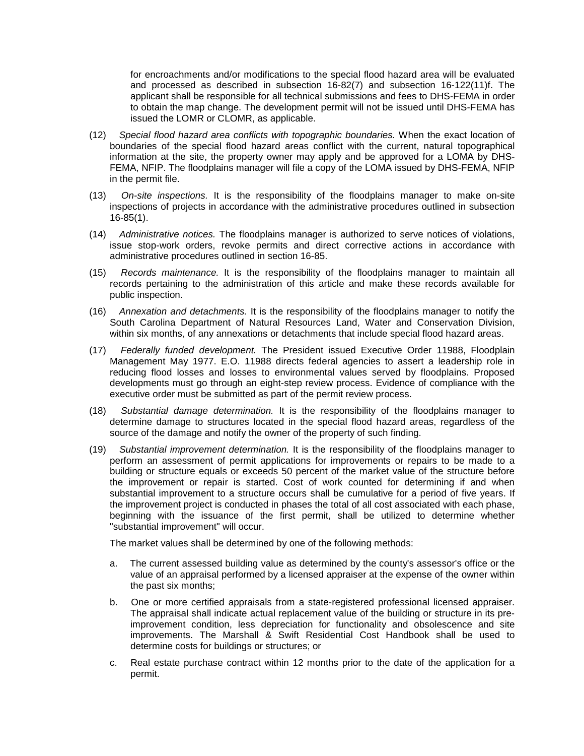for encroachments and/or modifications to the special flood hazard area will be evaluated and processed as described in subsection 16-82(7) and subsection 16-122(11)f. The applicant shall be responsible for all technical submissions and fees to DHS-FEMA in order to obtain the map change. The development permit will not be issued until DHS-FEMA has issued the LOMR or CLOMR, as applicable.

- (12) *Special flood hazard area conflicts with topographic boundaries.* When the exact location of boundaries of the special flood hazard areas conflict with the current, natural topographical information at the site, the property owner may apply and be approved for a LOMA by DHS-FEMA, NFIP. The floodplains manager will file a copy of the LOMA issued by DHS-FEMA, NFIP in the permit file.
- (13) *On-site inspections.* It is the responsibility of the floodplains manager to make on-site inspections of projects in accordance with the administrative procedures outlined in subsection 16-85(1).
- (14) *Administrative notices.* The floodplains manager is authorized to serve notices of violations, issue stop-work orders, revoke permits and direct corrective actions in accordance with administrative procedures outlined in section 16-85.
- (15) *Records maintenance.* It is the responsibility of the floodplains manager to maintain all records pertaining to the administration of this article and make these records available for public inspection.
- (16) *Annexation and detachments.* It is the responsibility of the floodplains manager to notify the South Carolina Department of Natural Resources Land, Water and Conservation Division, within six months, of any annexations or detachments that include special flood hazard areas.
- (17) *Federally funded development.* The President issued Executive Order 11988, Floodplain Management May 1977. E.O. 11988 directs federal agencies to assert a leadership role in reducing flood losses and losses to environmental values served by floodplains. Proposed developments must go through an eight-step review process. Evidence of compliance with the executive order must be submitted as part of the permit review process.
- (18) *Substantial damage determination.* It is the responsibility of the floodplains manager to determine damage to structures located in the special flood hazard areas, regardless of the source of the damage and notify the owner of the property of such finding.
- (19) *Substantial improvement determination.* It is the responsibility of the floodplains manager to perform an assessment of permit applications for improvements or repairs to be made to a building or structure equals or exceeds 50 percent of the market value of the structure before the improvement or repair is started. Cost of work counted for determining if and when substantial improvement to a structure occurs shall be cumulative for a period of five years. If the improvement project is conducted in phases the total of all cost associated with each phase, beginning with the issuance of the first permit, shall be utilized to determine whether "substantial improvement" will occur.

The market values shall be determined by one of the following methods:

- a. The current assessed building value as determined by the county's assessor's office or the value of an appraisal performed by a licensed appraiser at the expense of the owner within the past six months;
- b. One or more certified appraisals from a state-registered professional licensed appraiser. The appraisal shall indicate actual replacement value of the building or structure in its preimprovement condition, less depreciation for functionality and obsolescence and site improvements. The Marshall & Swift Residential Cost Handbook shall be used to determine costs for buildings or structures; or
- c. Real estate purchase contract within 12 months prior to the date of the application for a permit.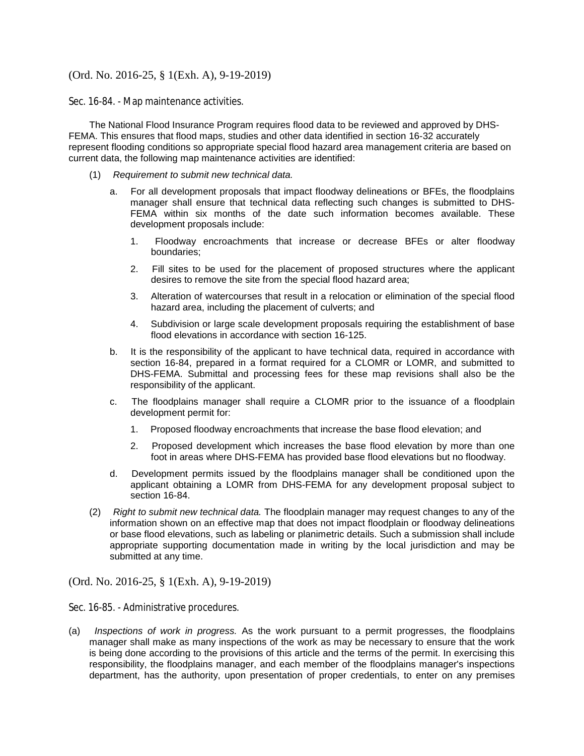Sec. 16-84. - Map maintenance activities.

The National Flood Insurance Program requires flood data to be reviewed and approved by DHS-FEMA. This ensures that flood maps, studies and other data identified in section 16-32 accurately represent flooding conditions so appropriate special flood hazard area management criteria are based on current data, the following map maintenance activities are identified:

- (1) *Requirement to submit new technical data.*
	- a. For all development proposals that impact floodway delineations or BFEs, the floodplains manager shall ensure that technical data reflecting such changes is submitted to DHS-FEMA within six months of the date such information becomes available. These development proposals include:
		- 1. Floodway encroachments that increase or decrease BFEs or alter floodway boundaries;
		- 2. Fill sites to be used for the placement of proposed structures where the applicant desires to remove the site from the special flood hazard area;
		- 3. Alteration of watercourses that result in a relocation or elimination of the special flood hazard area, including the placement of culverts; and
		- 4. Subdivision or large scale development proposals requiring the establishment of base flood elevations in accordance with section 16-125.
	- b. It is the responsibility of the applicant to have technical data, required in accordance with section 16-84, prepared in a format required for a CLOMR or LOMR, and submitted to DHS-FEMA. Submittal and processing fees for these map revisions shall also be the responsibility of the applicant.
	- c. The floodplains manager shall require a CLOMR prior to the issuance of a floodplain development permit for:
		- 1. Proposed floodway encroachments that increase the base flood elevation; and
		- 2. Proposed development which increases the base flood elevation by more than one foot in areas where DHS-FEMA has provided base flood elevations but no floodway.
	- d. Development permits issued by the floodplains manager shall be conditioned upon the applicant obtaining a LOMR from DHS-FEMA for any development proposal subject to section 16-84.
- (2) *Right to submit new technical data.* The floodplain manager may request changes to any of the information shown on an effective map that does not impact floodplain or floodway delineations or base flood elevations, such as labeling or planimetric details. Such a submission shall include appropriate supporting documentation made in writing by the local jurisdiction and may be submitted at any time.

(Ord. No. 2016-25, § 1(Exh. A), 9-19-2019)

Sec. 16-85. - Administrative procedures.

(a) *Inspections of work in progress.* As the work pursuant to a permit progresses, the floodplains manager shall make as many inspections of the work as may be necessary to ensure that the work is being done according to the provisions of this article and the terms of the permit. In exercising this responsibility, the floodplains manager, and each member of the floodplains manager's inspections department, has the authority, upon presentation of proper credentials, to enter on any premises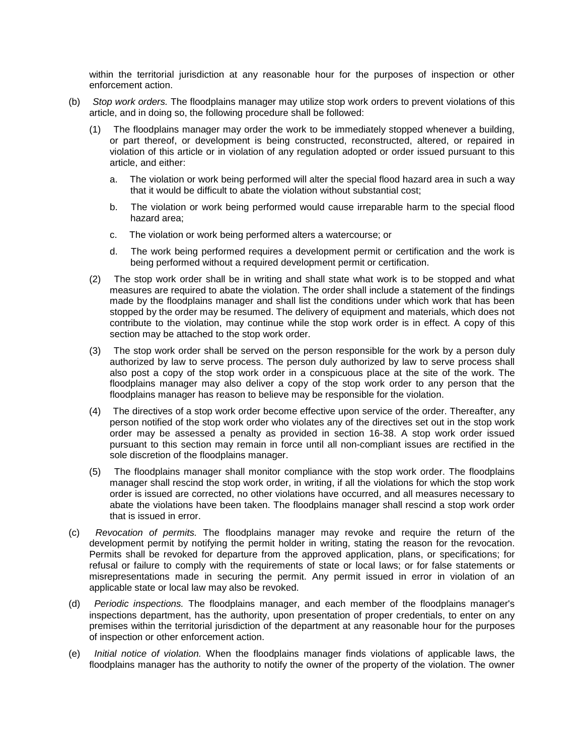within the territorial jurisdiction at any reasonable hour for the purposes of inspection or other enforcement action.

- (b) *Stop work orders.* The floodplains manager may utilize stop work orders to prevent violations of this article, and in doing so, the following procedure shall be followed:
	- (1) The floodplains manager may order the work to be immediately stopped whenever a building, or part thereof, or development is being constructed, reconstructed, altered, or repaired in violation of this article or in violation of any regulation adopted or order issued pursuant to this article, and either:
		- a. The violation or work being performed will alter the special flood hazard area in such a way that it would be difficult to abate the violation without substantial cost;
		- b. The violation or work being performed would cause irreparable harm to the special flood hazard area;
		- c. The violation or work being performed alters a watercourse; or
		- d. The work being performed requires a development permit or certification and the work is being performed without a required development permit or certification.
	- (2) The stop work order shall be in writing and shall state what work is to be stopped and what measures are required to abate the violation. The order shall include a statement of the findings made by the floodplains manager and shall list the conditions under which work that has been stopped by the order may be resumed. The delivery of equipment and materials, which does not contribute to the violation, may continue while the stop work order is in effect. A copy of this section may be attached to the stop work order.
	- (3) The stop work order shall be served on the person responsible for the work by a person duly authorized by law to serve process. The person duly authorized by law to serve process shall also post a copy of the stop work order in a conspicuous place at the site of the work. The floodplains manager may also deliver a copy of the stop work order to any person that the floodplains manager has reason to believe may be responsible for the violation.
	- (4) The directives of a stop work order become effective upon service of the order. Thereafter, any person notified of the stop work order who violates any of the directives set out in the stop work order may be assessed a penalty as provided in section 16-38. A stop work order issued pursuant to this section may remain in force until all non-compliant issues are rectified in the sole discretion of the floodplains manager.
	- (5) The floodplains manager shall monitor compliance with the stop work order. The floodplains manager shall rescind the stop work order, in writing, if all the violations for which the stop work order is issued are corrected, no other violations have occurred, and all measures necessary to abate the violations have been taken. The floodplains manager shall rescind a stop work order that is issued in error.
- (c) *Revocation of permits.* The floodplains manager may revoke and require the return of the development permit by notifying the permit holder in writing, stating the reason for the revocation. Permits shall be revoked for departure from the approved application, plans, or specifications; for refusal or failure to comply with the requirements of state or local laws; or for false statements or misrepresentations made in securing the permit. Any permit issued in error in violation of an applicable state or local law may also be revoked.
- (d) *Periodic inspections.* The floodplains manager, and each member of the floodplains manager's inspections department, has the authority, upon presentation of proper credentials, to enter on any premises within the territorial jurisdiction of the department at any reasonable hour for the purposes of inspection or other enforcement action.
- (e) *Initial notice of violation.* When the floodplains manager finds violations of applicable laws, the floodplains manager has the authority to notify the owner of the property of the violation. The owner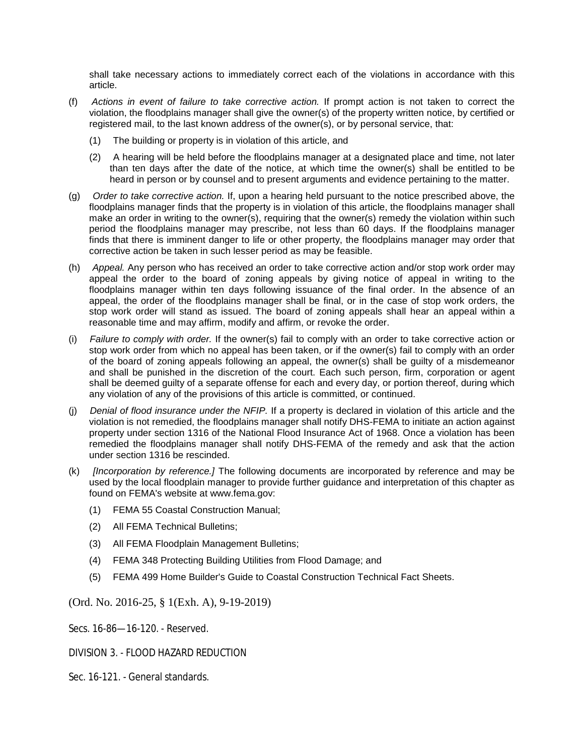shall take necessary actions to immediately correct each of the violations in accordance with this article.

- (f) *Actions in event of failure to take corrective action.* If prompt action is not taken to correct the violation, the floodplains manager shall give the owner(s) of the property written notice, by certified or registered mail, to the last known address of the owner(s), or by personal service, that:
	- (1) The building or property is in violation of this article, and
	- (2) A hearing will be held before the floodplains manager at a designated place and time, not later than ten days after the date of the notice, at which time the owner(s) shall be entitled to be heard in person or by counsel and to present arguments and evidence pertaining to the matter.
- (g) *Order to take corrective action.* If, upon a hearing held pursuant to the notice prescribed above, the floodplains manager finds that the property is in violation of this article, the floodplains manager shall make an order in writing to the owner(s), requiring that the owner(s) remedy the violation within such period the floodplains manager may prescribe, not less than 60 days. If the floodplains manager finds that there is imminent danger to life or other property, the floodplains manager may order that corrective action be taken in such lesser period as may be feasible.
- (h) *Appeal.* Any person who has received an order to take corrective action and/or stop work order may appeal the order to the board of zoning appeals by giving notice of appeal in writing to the floodplains manager within ten days following issuance of the final order. In the absence of an appeal, the order of the floodplains manager shall be final, or in the case of stop work orders, the stop work order will stand as issued. The board of zoning appeals shall hear an appeal within a reasonable time and may affirm, modify and affirm, or revoke the order.
- (i) *Failure to comply with order.* If the owner(s) fail to comply with an order to take corrective action or stop work order from which no appeal has been taken, or if the owner(s) fail to comply with an order of the board of zoning appeals following an appeal, the owner(s) shall be guilty of a misdemeanor and shall be punished in the discretion of the court. Each such person, firm, corporation or agent shall be deemed guilty of a separate offense for each and every day, or portion thereof, during which any violation of any of the provisions of this article is committed, or continued.
- (j) *Denial of flood insurance under the NFIP.* If a property is declared in violation of this article and the violation is not remedied, the floodplains manager shall notify DHS-FEMA to initiate an action against property under section 1316 of the National Flood Insurance Act of 1968. Once a violation has been remedied the floodplains manager shall notify DHS-FEMA of the remedy and ask that the action under section 1316 be rescinded.
- (k) *[Incorporation by reference.]* The following documents are incorporated by reference and may be used by the local floodplain manager to provide further guidance and interpretation of this chapter as found on FEMA's website at www.fema.gov:
	- (1) FEMA 55 Coastal Construction Manual;
	- (2) All FEMA Technical Bulletins;
	- (3) All FEMA Floodplain Management Bulletins;
	- (4) FEMA 348 Protecting Building Utilities from Flood Damage; and
	- (5) FEMA 499 Home Builder's Guide to Coastal Construction Technical Fact Sheets.

(Ord. No. 2016-25, § 1(Exh. A), 9-19-2019)

Secs. 16-86—16-120. - Reserved.

DIVISION 3. - FLOOD HAZARD REDUCTION

Sec. 16-121. - General standards.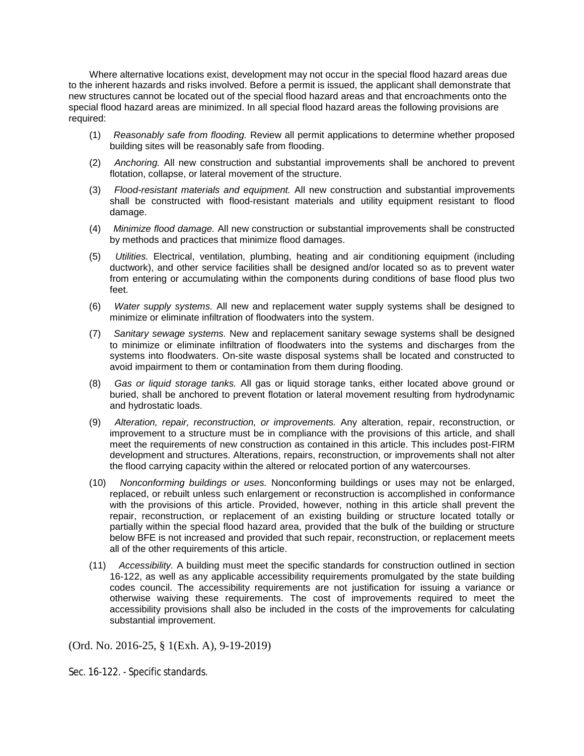Where alternative locations exist, development may not occur in the special flood hazard areas due to the inherent hazards and risks involved. Before a permit is issued, the applicant shall demonstrate that new structures cannot be located out of the special flood hazard areas and that encroachments onto the special flood hazard areas are minimized. In all special flood hazard areas the following provisions are required:

- (1) *Reasonably safe from flooding.* Review all permit applications to determine whether proposed building sites will be reasonably safe from flooding.
- (2) *Anchoring.* All new construction and substantial improvements shall be anchored to prevent flotation, collapse, or lateral movement of the structure.
- (3) *Flood-resistant materials and equipment.* All new construction and substantial improvements shall be constructed with flood-resistant materials and utility equipment resistant to flood damage.
- (4) *Minimize flood damage.* All new construction or substantial improvements shall be constructed by methods and practices that minimize flood damages.
- (5) *Utilities.* Electrical, ventilation, plumbing, heating and air conditioning equipment (including ductwork), and other service facilities shall be designed and/or located so as to prevent water from entering or accumulating within the components during conditions of base flood plus two feet.
- (6) *Water supply systems.* All new and replacement water supply systems shall be designed to minimize or eliminate infiltration of floodwaters into the system.
- (7) *Sanitary sewage systems.* New and replacement sanitary sewage systems shall be designed to minimize or eliminate infiltration of floodwaters into the systems and discharges from the systems into floodwaters. On-site waste disposal systems shall be located and constructed to avoid impairment to them or contamination from them during flooding.
- (8) *Gas or liquid storage tanks.* All gas or liquid storage tanks, either located above ground or buried, shall be anchored to prevent flotation or lateral movement resulting from hydrodynamic and hydrostatic loads.
- (9) *Alteration, repair, reconstruction, or improvements.* Any alteration, repair, reconstruction, or improvement to a structure must be in compliance with the provisions of this article, and shall meet the requirements of new construction as contained in this article. This includes post-FIRM development and structures. Alterations, repairs, reconstruction, or improvements shall not alter the flood carrying capacity within the altered or relocated portion of any watercourses.
- (10) *Nonconforming buildings or uses.* Nonconforming buildings or uses may not be enlarged, replaced, or rebuilt unless such enlargement or reconstruction is accomplished in conformance with the provisions of this article. Provided, however, nothing in this article shall prevent the repair, reconstruction, or replacement of an existing building or structure located totally or partially within the special flood hazard area, provided that the bulk of the building or structure below BFE is not increased and provided that such repair, reconstruction, or replacement meets all of the other requirements of this article.
- (11) *Accessibility.* A building must meet the specific standards for construction outlined in section 16-122, as well as any applicable accessibility requirements promulgated by the state building codes council. The accessibility requirements are not justification for issuing a variance or otherwise waiving these requirements. The cost of improvements required to meet the accessibility provisions shall also be included in the costs of the improvements for calculating substantial improvement.

(Ord. No. 2016-25, § 1(Exh. A), 9-19-2019)

Sec. 16-122. - Specific standards.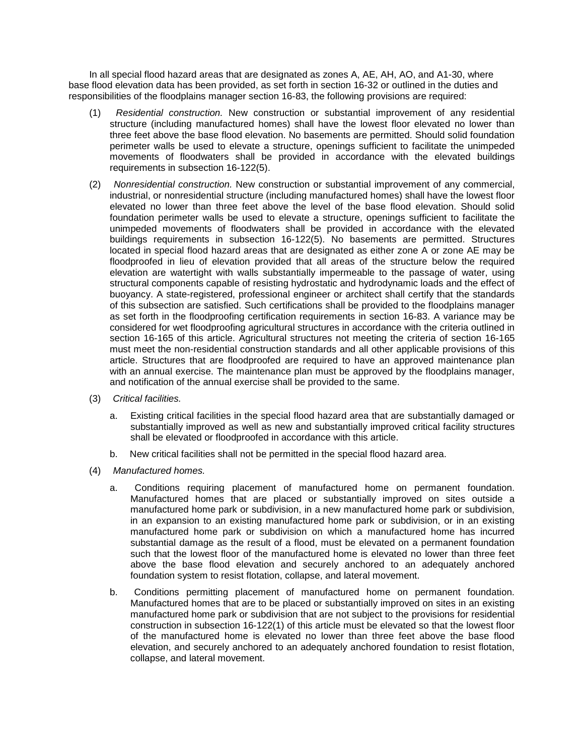In all special flood hazard areas that are designated as zones A, AE, AH, AO, and A1-30, where base flood elevation data has been provided, as set forth in section 16-32 or outlined in the duties and responsibilities of the floodplains manager section 16-83, the following provisions are required:

- (1) *Residential construction.* New construction or substantial improvement of any residential structure (including manufactured homes) shall have the lowest floor elevated no lower than three feet above the base flood elevation. No basements are permitted. Should solid foundation perimeter walls be used to elevate a structure, openings sufficient to facilitate the unimpeded movements of floodwaters shall be provided in accordance with the elevated buildings requirements in subsection 16-122(5).
- (2) *Nonresidential construction.* New construction or substantial improvement of any commercial, industrial, or nonresidential structure (including manufactured homes) shall have the lowest floor elevated no lower than three feet above the level of the base flood elevation. Should solid foundation perimeter walls be used to elevate a structure, openings sufficient to facilitate the unimpeded movements of floodwaters shall be provided in accordance with the elevated buildings requirements in subsection 16-122(5). No basements are permitted. Structures located in special flood hazard areas that are designated as either zone A or zone AE may be floodproofed in lieu of elevation provided that all areas of the structure below the required elevation are watertight with walls substantially impermeable to the passage of water, using structural components capable of resisting hydrostatic and hydrodynamic loads and the effect of buoyancy. A state-registered, professional engineer or architect shall certify that the standards of this subsection are satisfied. Such certifications shall be provided to the floodplains manager as set forth in the floodproofing certification requirements in section 16-83. A variance may be considered for wet floodproofing agricultural structures in accordance with the criteria outlined in section 16-165 of this article. Agricultural structures not meeting the criteria of section 16-165 must meet the non-residential construction standards and all other applicable provisions of this article. Structures that are floodproofed are required to have an approved maintenance plan with an annual exercise. The maintenance plan must be approved by the floodplains manager, and notification of the annual exercise shall be provided to the same.
- (3) *Critical facilities.*
	- a. Existing critical facilities in the special flood hazard area that are substantially damaged or substantially improved as well as new and substantially improved critical facility structures shall be elevated or floodproofed in accordance with this article.
	- b. New critical facilities shall not be permitted in the special flood hazard area.
- (4) *Manufactured homes.*
	- a. Conditions requiring placement of manufactured home on permanent foundation. Manufactured homes that are placed or substantially improved on sites outside a manufactured home park or subdivision, in a new manufactured home park or subdivision, in an expansion to an existing manufactured home park or subdivision, or in an existing manufactured home park or subdivision on which a manufactured home has incurred substantial damage as the result of a flood, must be elevated on a permanent foundation such that the lowest floor of the manufactured home is elevated no lower than three feet above the base flood elevation and securely anchored to an adequately anchored foundation system to resist flotation, collapse, and lateral movement.
	- b. Conditions permitting placement of manufactured home on permanent foundation. Manufactured homes that are to be placed or substantially improved on sites in an existing manufactured home park or subdivision that are not subject to the provisions for residential construction in subsection 16-122(1) of this article must be elevated so that the lowest floor of the manufactured home is elevated no lower than three feet above the base flood elevation, and securely anchored to an adequately anchored foundation to resist flotation, collapse, and lateral movement.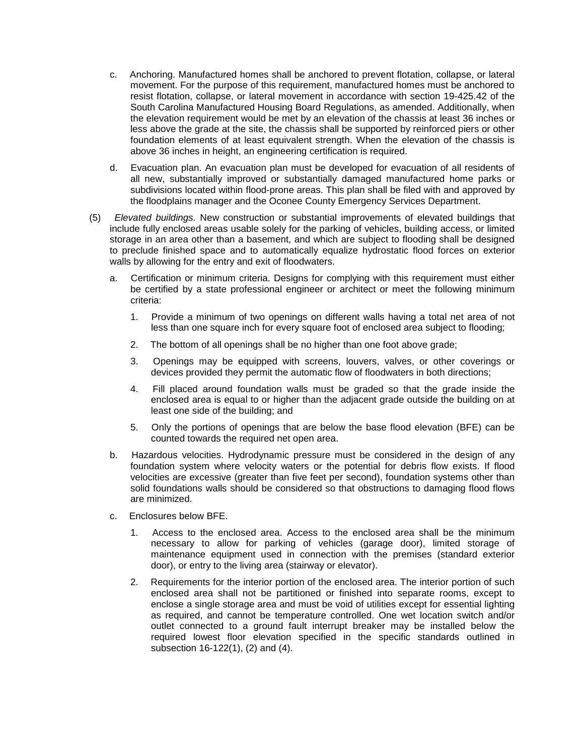- c. Anchoring. Manufactured homes shall be anchored to prevent flotation, collapse, or lateral movement. For the purpose of this requirement, manufactured homes must be anchored to resist flotation, collapse, or lateral movement in accordance with section 19-425.42 of the South Carolina Manufactured Housing Board Regulations, as amended. Additionally, when the elevation requirement would be met by an elevation of the chassis at least 36 inches or less above the grade at the site, the chassis shall be supported by reinforced piers or other foundation elements of at least equivalent strength. When the elevation of the chassis is above 36 inches in height, an engineering certification is required.
- d. Evacuation plan. An evacuation plan must be developed for evacuation of all residents of all new, substantially improved or substantially damaged manufactured home parks or subdivisions located within flood-prone areas. This plan shall be filed with and approved by the floodplains manager and the Oconee County Emergency Services Department.
- (5) *Elevated buildings.* New construction or substantial improvements of elevated buildings that include fully enclosed areas usable solely for the parking of vehicles, building access, or limited storage in an area other than a basement, and which are subject to flooding shall be designed to preclude finished space and to automatically equalize hydrostatic flood forces on exterior walls by allowing for the entry and exit of floodwaters.
	- a. Certification or minimum criteria. Designs for complying with this requirement must either be certified by a state professional engineer or architect or meet the following minimum criteria:
		- 1. Provide a minimum of two openings on different walls having a total net area of not less than one square inch for every square foot of enclosed area subject to flooding;
		- 2. The bottom of all openings shall be no higher than one foot above grade;
		- 3. Openings may be equipped with screens, louvers, valves, or other coverings or devices provided they permit the automatic flow of floodwaters in both directions;
		- 4. Fill placed around foundation walls must be graded so that the grade inside the enclosed area is equal to or higher than the adjacent grade outside the building on at least one side of the building; and
		- 5. Only the portions of openings that are below the base flood elevation (BFE) can be counted towards the required net open area.
	- b. Hazardous velocities. Hydrodynamic pressure must be considered in the design of any foundation system where velocity waters or the potential for debris flow exists. If flood velocities are excessive (greater than five feet per second), foundation systems other than solid foundations walls should be considered so that obstructions to damaging flood flows are minimized.
	- c. Enclosures below BFE.
		- 1. Access to the enclosed area. Access to the enclosed area shall be the minimum necessary to allow for parking of vehicles (garage door), limited storage of maintenance equipment used in connection with the premises (standard exterior door), or entry to the living area (stairway or elevator).
		- 2. Requirements for the interior portion of the enclosed area. The interior portion of such enclosed area shall not be partitioned or finished into separate rooms, except to enclose a single storage area and must be void of utilities except for essential lighting as required, and cannot be temperature controlled. One wet location switch and/or outlet connected to a ground fault interrupt breaker may be installed below the required lowest floor elevation specified in the specific standards outlined in subsection 16-122(1), (2) and (4).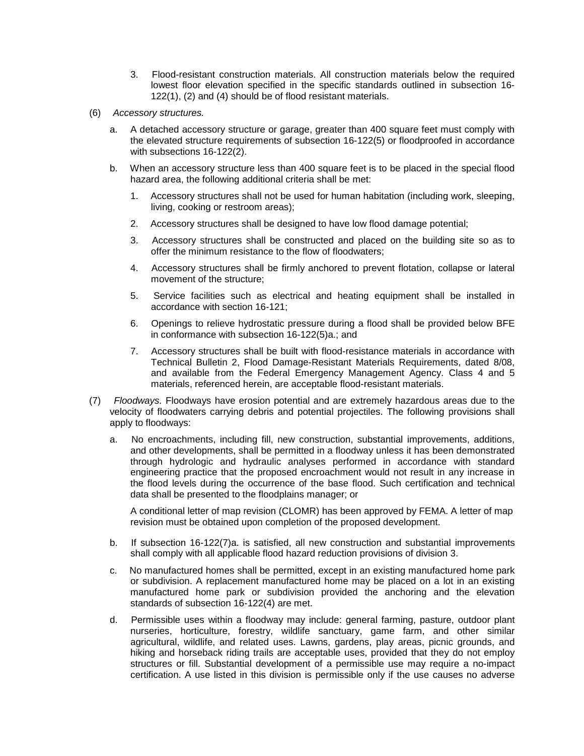- 3. Flood-resistant construction materials. All construction materials below the required lowest floor elevation specified in the specific standards outlined in subsection 16- 122(1), (2) and (4) should be of flood resistant materials.
- (6) *Accessory structures.*
	- a. A detached accessory structure or garage, greater than 400 square feet must comply with the elevated structure requirements of subsection 16-122(5) or floodproofed in accordance with subsections 16-122(2).
	- b. When an accessory structure less than 400 square feet is to be placed in the special flood hazard area, the following additional criteria shall be met:
		- 1. Accessory structures shall not be used for human habitation (including work, sleeping, living, cooking or restroom areas);
		- 2. Accessory structures shall be designed to have low flood damage potential;
		- 3. Accessory structures shall be constructed and placed on the building site so as to offer the minimum resistance to the flow of floodwaters;
		- 4. Accessory structures shall be firmly anchored to prevent flotation, collapse or lateral movement of the structure;
		- 5. Service facilities such as electrical and heating equipment shall be installed in accordance with section 16-121;
		- 6. Openings to relieve hydrostatic pressure during a flood shall be provided below BFE in conformance with subsection 16-122(5)a.; and
		- 7. Accessory structures shall be built with flood-resistance materials in accordance with Technical Bulletin 2, Flood Damage-Resistant Materials Requirements, dated 8/08, and available from the Federal Emergency Management Agency. Class 4 and 5 materials, referenced herein, are acceptable flood-resistant materials.
- (7) *Floodways.* Floodways have erosion potential and are extremely hazardous areas due to the velocity of floodwaters carrying debris and potential projectiles. The following provisions shall apply to floodways:
	- a. No encroachments, including fill, new construction, substantial improvements, additions, and other developments, shall be permitted in a floodway unless it has been demonstrated through hydrologic and hydraulic analyses performed in accordance with standard engineering practice that the proposed encroachment would not result in any increase in the flood levels during the occurrence of the base flood. Such certification and technical data shall be presented to the floodplains manager; or

A conditional letter of map revision (CLOMR) has been approved by FEMA. A letter of map revision must be obtained upon completion of the proposed development.

- b. If subsection 16-122(7)a. is satisfied, all new construction and substantial improvements shall comply with all applicable flood hazard reduction provisions of division 3.
- c. No manufactured homes shall be permitted, except in an existing manufactured home park or subdivision. A replacement manufactured home may be placed on a lot in an existing manufactured home park or subdivision provided the anchoring and the elevation standards of subsection 16-122(4) are met.
- d. Permissible uses within a floodway may include: general farming, pasture, outdoor plant nurseries, horticulture, forestry, wildlife sanctuary, game farm, and other similar agricultural, wildlife, and related uses. Lawns, gardens, play areas, picnic grounds, and hiking and horseback riding trails are acceptable uses, provided that they do not employ structures or fill. Substantial development of a permissible use may require a no-impact certification. A use listed in this division is permissible only if the use causes no adverse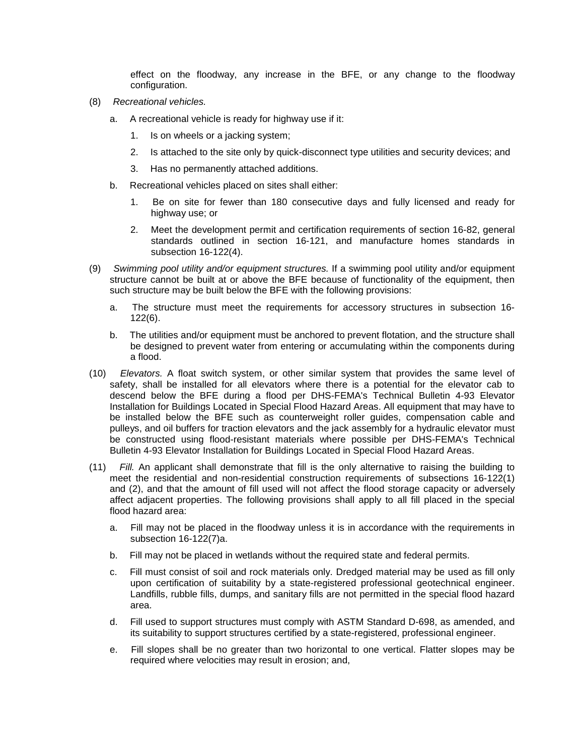effect on the floodway, any increase in the BFE, or any change to the floodway configuration.

- (8) *Recreational vehicles.*
	- a. A recreational vehicle is ready for highway use if it:
		- 1. Is on wheels or a jacking system;
		- 2. Is attached to the site only by quick-disconnect type utilities and security devices; and
		- 3. Has no permanently attached additions.
	- b. Recreational vehicles placed on sites shall either:
		- 1. Be on site for fewer than 180 consecutive days and fully licensed and ready for highway use; or
		- 2. Meet the development permit and certification requirements of section 16-82, general standards outlined in section 16-121, and manufacture homes standards in subsection 16-122(4).
- (9) *Swimming pool utility and/or equipment structures.* If a swimming pool utility and/or equipment structure cannot be built at or above the BFE because of functionality of the equipment, then such structure may be built below the BFE with the following provisions:
	- a. The structure must meet the requirements for accessory structures in subsection 16- 122(6).
	- b. The utilities and/or equipment must be anchored to prevent flotation, and the structure shall be designed to prevent water from entering or accumulating within the components during a flood.
- (10) *Elevators.* A float switch system, or other similar system that provides the same level of safety, shall be installed for all elevators where there is a potential for the elevator cab to descend below the BFE during a flood per DHS-FEMA's Technical Bulletin 4-93 Elevator Installation for Buildings Located in Special Flood Hazard Areas. All equipment that may have to be installed below the BFE such as counterweight roller guides, compensation cable and pulleys, and oil buffers for traction elevators and the jack assembly for a hydraulic elevator must be constructed using flood-resistant materials where possible per DHS-FEMA's Technical Bulletin 4-93 Elevator Installation for Buildings Located in Special Flood Hazard Areas.
- (11) *Fill.* An applicant shall demonstrate that fill is the only alternative to raising the building to meet the residential and non-residential construction requirements of subsections 16-122(1) and (2), and that the amount of fill used will not affect the flood storage capacity or adversely affect adjacent properties. The following provisions shall apply to all fill placed in the special flood hazard area:
	- a. Fill may not be placed in the floodway unless it is in accordance with the requirements in subsection 16-122(7)a.
	- b. Fill may not be placed in wetlands without the required state and federal permits.
	- c. Fill must consist of soil and rock materials only. Dredged material may be used as fill only upon certification of suitability by a state-registered professional geotechnical engineer. Landfills, rubble fills, dumps, and sanitary fills are not permitted in the special flood hazard area.
	- d. Fill used to support structures must comply with ASTM Standard D-698, as amended, and its suitability to support structures certified by a state-registered, professional engineer.
	- e. Fill slopes shall be no greater than two horizontal to one vertical. Flatter slopes may be required where velocities may result in erosion; and,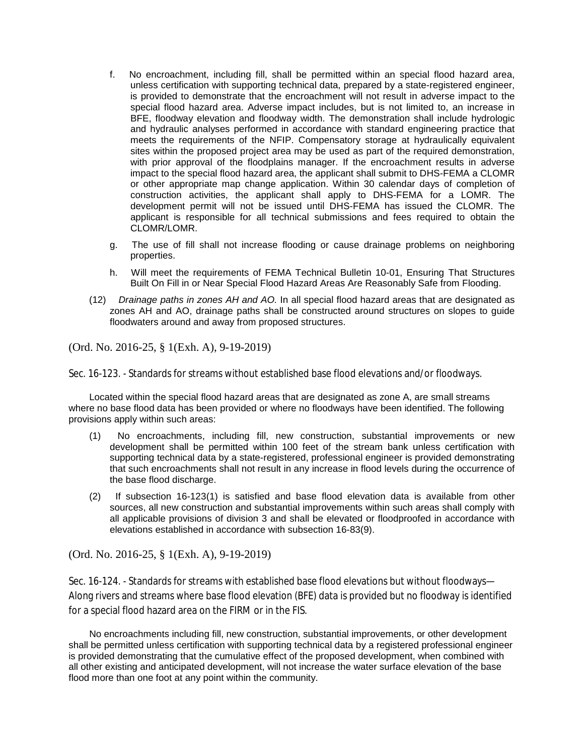- f. No encroachment, including fill, shall be permitted within an special flood hazard area, unless certification with supporting technical data, prepared by a state-registered engineer, is provided to demonstrate that the encroachment will not result in adverse impact to the special flood hazard area. Adverse impact includes, but is not limited to, an increase in BFE, floodway elevation and floodway width. The demonstration shall include hydrologic and hydraulic analyses performed in accordance with standard engineering practice that meets the requirements of the NFIP. Compensatory storage at hydraulically equivalent sites within the proposed project area may be used as part of the required demonstration, with prior approval of the floodplains manager. If the encroachment results in adverse impact to the special flood hazard area, the applicant shall submit to DHS-FEMA a CLOMR or other appropriate map change application. Within 30 calendar days of completion of construction activities, the applicant shall apply to DHS-FEMA for a LOMR. The development permit will not be issued until DHS-FEMA has issued the CLOMR. The applicant is responsible for all technical submissions and fees required to obtain the CLOMR/LOMR.
- g. The use of fill shall not increase flooding or cause drainage problems on neighboring properties.
- h. Will meet the requirements of FEMA Technical Bulletin 10-01, Ensuring That Structures Built On Fill in or Near Special Flood Hazard Areas Are Reasonably Safe from Flooding.
- (12) *Drainage paths in zones AH and AO.* In all special flood hazard areas that are designated as zones AH and AO, drainage paths shall be constructed around structures on slopes to guide floodwaters around and away from proposed structures.

Sec. 16-123. - Standards for streams without established base flood elevations and/or floodways.

Located within the special flood hazard areas that are designated as zone A, are small streams where no base flood data has been provided or where no floodways have been identified. The following provisions apply within such areas:

- (1) No encroachments, including fill, new construction, substantial improvements or new development shall be permitted within 100 feet of the stream bank unless certification with supporting technical data by a state-registered, professional engineer is provided demonstrating that such encroachments shall not result in any increase in flood levels during the occurrence of the base flood discharge.
- (2) If subsection 16-123(1) is satisfied and base flood elevation data is available from other sources, all new construction and substantial improvements within such areas shall comply with all applicable provisions of division 3 and shall be elevated or floodproofed in accordance with elevations established in accordance with subsection 16-83(9).

(Ord. No. 2016-25, § 1(Exh. A), 9-19-2019)

Sec. 16-124. - Standards for streams with established base flood elevations but without floodways— Along rivers and streams where base flood elevation (BFE) data is provided but no floodway is identified for a special flood hazard area on the FIRM or in the FIS.

No encroachments including fill, new construction, substantial improvements, or other development shall be permitted unless certification with supporting technical data by a registered professional engineer is provided demonstrating that the cumulative effect of the proposed development, when combined with all other existing and anticipated development, will not increase the water surface elevation of the base flood more than one foot at any point within the community.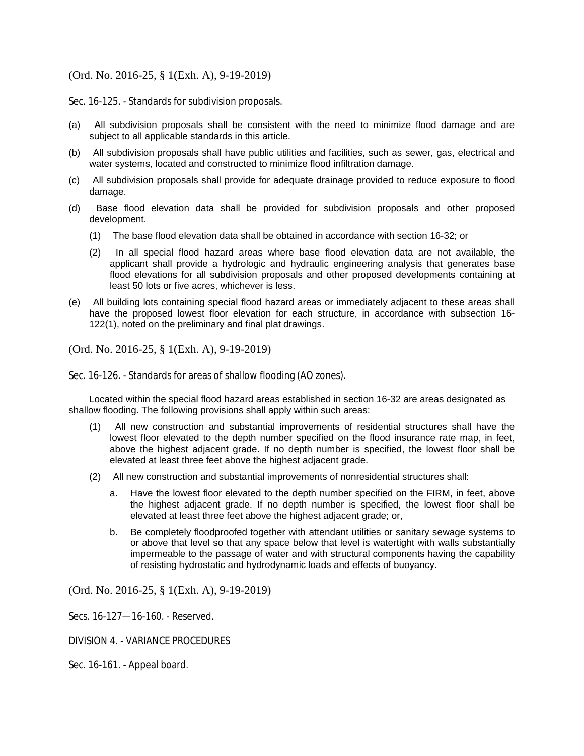Sec. 16-125. - Standards for subdivision proposals.

- (a) All subdivision proposals shall be consistent with the need to minimize flood damage and are subject to all applicable standards in this article.
- (b) All subdivision proposals shall have public utilities and facilities, such as sewer, gas, electrical and water systems, located and constructed to minimize flood infiltration damage.
- (c) All subdivision proposals shall provide for adequate drainage provided to reduce exposure to flood damage.
- (d) Base flood elevation data shall be provided for subdivision proposals and other proposed development.
	- (1) The base flood elevation data shall be obtained in accordance with section 16-32; or
	- (2) In all special flood hazard areas where base flood elevation data are not available, the applicant shall provide a hydrologic and hydraulic engineering analysis that generates base flood elevations for all subdivision proposals and other proposed developments containing at least 50 lots or five acres, whichever is less.
- (e) All building lots containing special flood hazard areas or immediately adjacent to these areas shall have the proposed lowest floor elevation for each structure, in accordance with subsection 16- 122(1), noted on the preliminary and final plat drawings.

(Ord. No. 2016-25, § 1(Exh. A), 9-19-2019)

Sec. 16-126. - Standards for areas of shallow flooding (AO zones).

Located within the special flood hazard areas established in section 16-32 are areas designated as shallow flooding. The following provisions shall apply within such areas:

- (1) All new construction and substantial improvements of residential structures shall have the lowest floor elevated to the depth number specified on the flood insurance rate map, in feet, above the highest adjacent grade. If no depth number is specified, the lowest floor shall be elevated at least three feet above the highest adjacent grade.
- (2) All new construction and substantial improvements of nonresidential structures shall:
	- a. Have the lowest floor elevated to the depth number specified on the FIRM, in feet, above the highest adjacent grade. If no depth number is specified, the lowest floor shall be elevated at least three feet above the highest adjacent grade; or,
	- b. Be completely floodproofed together with attendant utilities or sanitary sewage systems to or above that level so that any space below that level is watertight with walls substantially impermeable to the passage of water and with structural components having the capability of resisting hydrostatic and hydrodynamic loads and effects of buoyancy.

(Ord. No. 2016-25, § 1(Exh. A), 9-19-2019)

Secs. 16-127—16-160. - Reserved.

DIVISION 4. - VARIANCE PROCEDURES

Sec. 16-161. - Appeal board.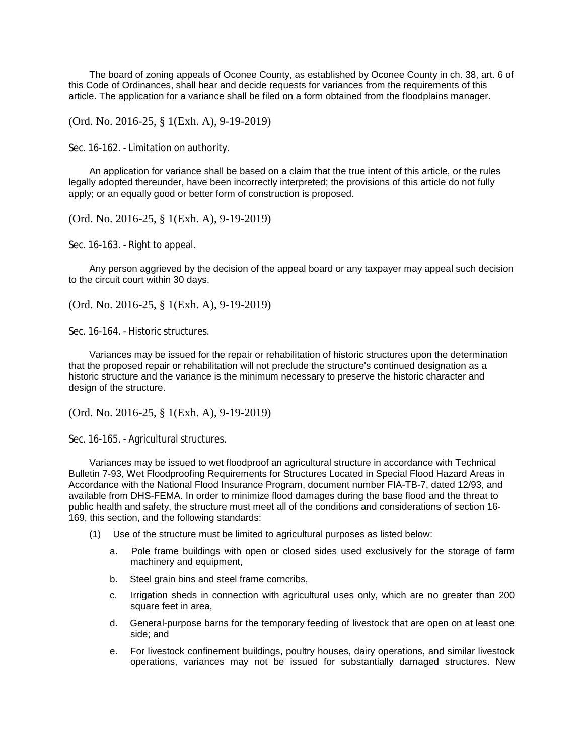The board of zoning appeals of Oconee County, as established by Oconee County in ch. 38, art. 6 of this Code of Ordinances, shall hear and decide requests for variances from the requirements of this article. The application for a variance shall be filed on a form obtained from the floodplains manager.

(Ord. No. 2016-25, § 1(Exh. A), 9-19-2019)

Sec. 16-162. - Limitation on authority.

An application for variance shall be based on a claim that the true intent of this article, or the rules legally adopted thereunder, have been incorrectly interpreted; the provisions of this article do not fully apply; or an equally good or better form of construction is proposed.

(Ord. No. 2016-25, § 1(Exh. A), 9-19-2019)

Sec. 16-163. - Right to appeal.

Any person aggrieved by the decision of the appeal board or any taxpayer may appeal such decision to the circuit court within 30 days.

(Ord. No. 2016-25, § 1(Exh. A), 9-19-2019)

Sec. 16-164. - Historic structures.

Variances may be issued for the repair or rehabilitation of historic structures upon the determination that the proposed repair or rehabilitation will not preclude the structure's continued designation as a historic structure and the variance is the minimum necessary to preserve the historic character and design of the structure.

(Ord. No. 2016-25, § 1(Exh. A), 9-19-2019)

Sec. 16-165. - Agricultural structures.

Variances may be issued to wet floodproof an agricultural structure in accordance with Technical Bulletin 7-93, Wet Floodproofing Requirements for Structures Located in Special Flood Hazard Areas in Accordance with the National Flood Insurance Program, document number FIA-TB-7, dated 12/93, and available from DHS-FEMA. In order to minimize flood damages during the base flood and the threat to public health and safety, the structure must meet all of the conditions and considerations of section 16- 169, this section, and the following standards:

- (1) Use of the structure must be limited to agricultural purposes as listed below:
	- a. Pole frame buildings with open or closed sides used exclusively for the storage of farm machinery and equipment,
	- b. Steel grain bins and steel frame corncribs,
	- c. Irrigation sheds in connection with agricultural uses only, which are no greater than 200 square feet in area,
	- d. General-purpose barns for the temporary feeding of livestock that are open on at least one side; and
	- e. For livestock confinement buildings, poultry houses, dairy operations, and similar livestock operations, variances may not be issued for substantially damaged structures. New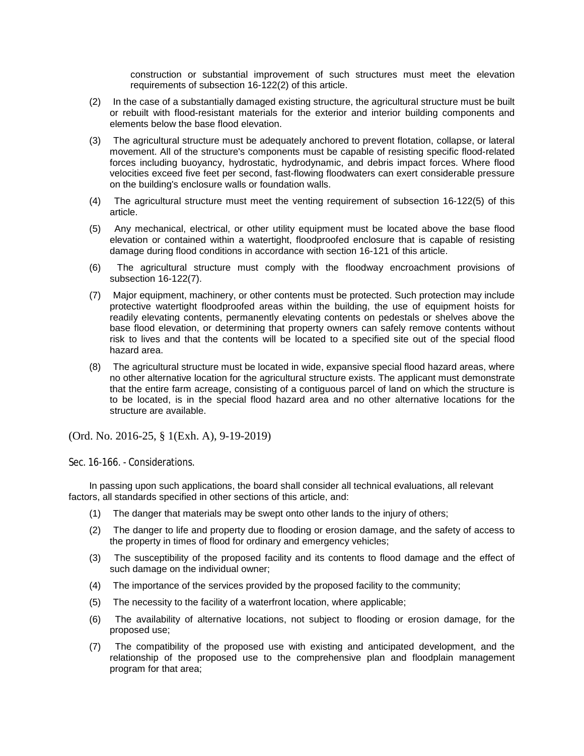construction or substantial improvement of such structures must meet the elevation requirements of subsection 16-122(2) of this article.

- (2) In the case of a substantially damaged existing structure, the agricultural structure must be built or rebuilt with flood-resistant materials for the exterior and interior building components and elements below the base flood elevation.
- (3) The agricultural structure must be adequately anchored to prevent flotation, collapse, or lateral movement. All of the structure's components must be capable of resisting specific flood-related forces including buoyancy, hydrostatic, hydrodynamic, and debris impact forces. Where flood velocities exceed five feet per second, fast-flowing floodwaters can exert considerable pressure on the building's enclosure walls or foundation walls.
- (4) The agricultural structure must meet the venting requirement of subsection 16-122(5) of this article.
- (5) Any mechanical, electrical, or other utility equipment must be located above the base flood elevation or contained within a watertight, floodproofed enclosure that is capable of resisting damage during flood conditions in accordance with section 16-121 of this article.
- (6) The agricultural structure must comply with the floodway encroachment provisions of subsection 16-122(7).
- (7) Major equipment, machinery, or other contents must be protected. Such protection may include protective watertight floodproofed areas within the building, the use of equipment hoists for readily elevating contents, permanently elevating contents on pedestals or shelves above the base flood elevation, or determining that property owners can safely remove contents without risk to lives and that the contents will be located to a specified site out of the special flood hazard area.
- (8) The agricultural structure must be located in wide, expansive special flood hazard areas, where no other alternative location for the agricultural structure exists. The applicant must demonstrate that the entire farm acreage, consisting of a contiguous parcel of land on which the structure is to be located, is in the special flood hazard area and no other alternative locations for the structure are available.

(Ord. No. 2016-25, § 1(Exh. A), 9-19-2019)

Sec. 16-166. - Considerations.

In passing upon such applications, the board shall consider all technical evaluations, all relevant factors, all standards specified in other sections of this article, and:

- (1) The danger that materials may be swept onto other lands to the injury of others;
- (2) The danger to life and property due to flooding or erosion damage, and the safety of access to the property in times of flood for ordinary and emergency vehicles;
- (3) The susceptibility of the proposed facility and its contents to flood damage and the effect of such damage on the individual owner;
- (4) The importance of the services provided by the proposed facility to the community;
- (5) The necessity to the facility of a waterfront location, where applicable;
- (6) The availability of alternative locations, not subject to flooding or erosion damage, for the proposed use;
- (7) The compatibility of the proposed use with existing and anticipated development, and the relationship of the proposed use to the comprehensive plan and floodplain management program for that area;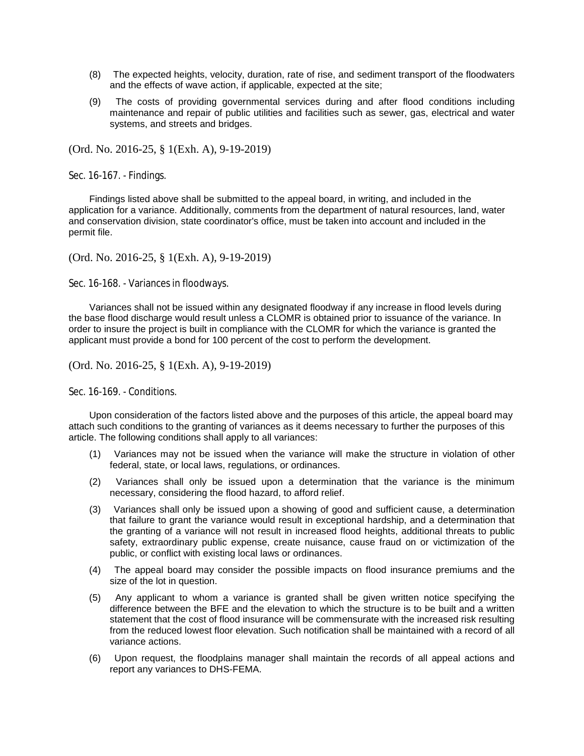- (8) The expected heights, velocity, duration, rate of rise, and sediment transport of the floodwaters and the effects of wave action, if applicable, expected at the site;
- (9) The costs of providing governmental services during and after flood conditions including maintenance and repair of public utilities and facilities such as sewer, gas, electrical and water systems, and streets and bridges.

Sec. 16-167. - Findings.

Findings listed above shall be submitted to the appeal board, in writing, and included in the application for a variance. Additionally, comments from the department of natural resources, land, water and conservation division, state coordinator's office, must be taken into account and included in the permit file.

(Ord. No. 2016-25, § 1(Exh. A), 9-19-2019)

Sec. 16-168. - Variances in floodways.

Variances shall not be issued within any designated floodway if any increase in flood levels during the base flood discharge would result unless a CLOMR is obtained prior to issuance of the variance. In order to insure the project is built in compliance with the CLOMR for which the variance is granted the applicant must provide a bond for 100 percent of the cost to perform the development.

(Ord. No. 2016-25, § 1(Exh. A), 9-19-2019)

Sec. 16-169 - Conditions.

Upon consideration of the factors listed above and the purposes of this article, the appeal board may attach such conditions to the granting of variances as it deems necessary to further the purposes of this article. The following conditions shall apply to all variances:

- (1) Variances may not be issued when the variance will make the structure in violation of other federal, state, or local laws, regulations, or ordinances.
- (2) Variances shall only be issued upon a determination that the variance is the minimum necessary, considering the flood hazard, to afford relief.
- (3) Variances shall only be issued upon a showing of good and sufficient cause, a determination that failure to grant the variance would result in exceptional hardship, and a determination that the granting of a variance will not result in increased flood heights, additional threats to public safety, extraordinary public expense, create nuisance, cause fraud on or victimization of the public, or conflict with existing local laws or ordinances.
- (4) The appeal board may consider the possible impacts on flood insurance premiums and the size of the lot in question.
- (5) Any applicant to whom a variance is granted shall be given written notice specifying the difference between the BFE and the elevation to which the structure is to be built and a written statement that the cost of flood insurance will be commensurate with the increased risk resulting from the reduced lowest floor elevation. Such notification shall be maintained with a record of all variance actions.
- (6) Upon request, the floodplains manager shall maintain the records of all appeal actions and report any variances to DHS-FEMA.